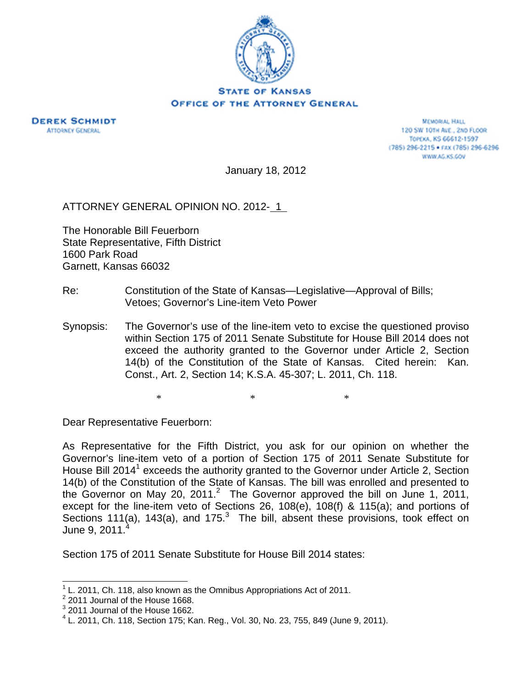

**DEREK SCHMIDT ATTORNEY GENERAL** 

**MEMORIAL HALL** 120 SW 101H AVE., 2ND FLOOR TOPEKA, KS 66612-1597 (785) 296-2215 · FAX (785) 296-6296 WWW.AG.KS.GOV

January 18, 2012

ATTORNEY GENERAL OPINION NO. 2012- 1

The Honorable Bill Feuerborn State Representative, Fifth District 1600 Park Road Garnett, Kansas 66032

- Re: Constitution of the State of Kansas—Legislative—Approval of Bills; Vetoes; Governor's Line-item Veto Power
- Synopsis: The Governor's use of the line-item veto to excise the questioned proviso within Section 175 of 2011 Senate Substitute for House Bill 2014 does not exceed the authority granted to the Governor under Article 2, Section 14(b) of the Constitution of the State of Kansas. Cited herein: Kan. Const., Art. 2, Section 14; K.S.A. 45-307; L. 2011, Ch. 118.

 $*$   $*$   $*$ 

Dear Representative Feuerborn:

As Representative for the Fifth District, you ask for our opinion on whether the Governor's line-item veto of a portion of Section 175 of 2011 Senate Substitute for House Bill 2014<sup>1</sup> exceeds the authority granted to the Governor under Article 2, Section 14(b) of the Constitution of the State of Kansas. The bill was enrolled and presented to the Governor on May 20, 2011.<sup>2</sup> The Governor approved the bill on June 1, 2011, except for the line-item veto of Sections 26, 108(e), 108(f) & 115(a); and portions of Sections 111(a), 143(a), and 175. $3$  The bill, absent these provisions, took effect on June 9, 2011.<sup>4</sup>

Section 175 of 2011 Senate Substitute for House Bill 2014 states:

<sup>1</sup> L. 2011, Ch. 118, also known as the Omnibus Appropriations Act of 2011.

 $2$  2011 Journal of the House 1668.

 $3$  2011 Journal of the House 1662.

 $4$  L. 2011, Ch. 118, Section 175; Kan. Reg., Vol. 30, No. 23, 755, 849 (June 9, 2011).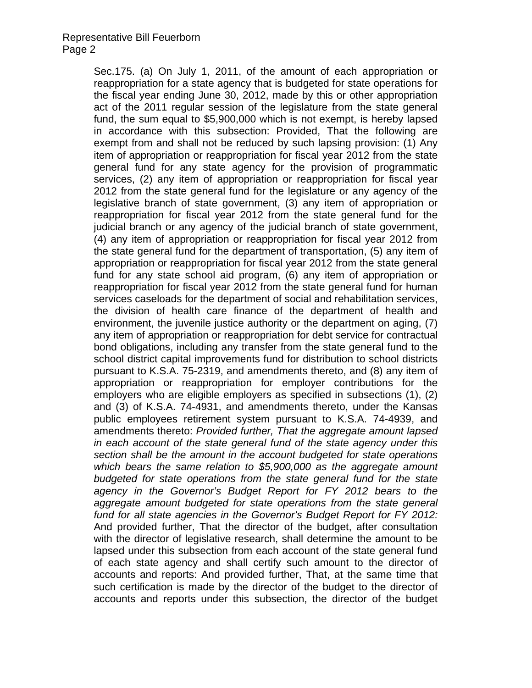Sec.175. (a) On July 1, 2011, of the amount of each appropriation or reappropriation for a state agency that is budgeted for state operations for the fiscal year ending June 30, 2012, made by this or other appropriation act of the 2011 regular session of the legislature from the state general fund, the sum equal to \$5,900,000 which is not exempt, is hereby lapsed in accordance with this subsection: Provided, That the following are exempt from and shall not be reduced by such lapsing provision: (1) Any item of appropriation or reappropriation for fiscal year 2012 from the state general fund for any state agency for the provision of programmatic services, (2) any item of appropriation or reappropriation for fiscal year 2012 from the state general fund for the legislature or any agency of the legislative branch of state government, (3) any item of appropriation or reappropriation for fiscal year 2012 from the state general fund for the judicial branch or any agency of the judicial branch of state government, (4) any item of appropriation or reappropriation for fiscal year 2012 from the state general fund for the department of transportation, (5) any item of appropriation or reappropriation for fiscal year 2012 from the state general fund for any state school aid program, (6) any item of appropriation or reappropriation for fiscal year 2012 from the state general fund for human services caseloads for the department of social and rehabilitation services, the division of health care finance of the department of health and environment, the juvenile justice authority or the department on aging, (7) any item of appropriation or reappropriation for debt service for contractual bond obligations, including any transfer from the state general fund to the school district capital improvements fund for distribution to school districts pursuant to K.S.A. 75-2319, and amendments thereto, and (8) any item of appropriation or reappropriation for employer contributions for the employers who are eligible employers as specified in subsections (1), (2) and (3) of K.S.A. 74-4931, and amendments thereto, under the Kansas public employees retirement system pursuant to K.S.A. 74-4939, and amendments thereto: *Provided further, That the aggregate amount lapsed in each account of the state general fund of the state agency under this section shall be the amount in the account budgeted for state operations which bears the same relation to \$5,900,000 as the aggregate amount budgeted for state operations from the state general fund for the state agency in the Governor's Budget Report for FY 2012 bears to the aggregate amount budgeted for state operations from the state general fund for all state agencies in the Governor's Budget Report for FY 2012:* And provided further, That the director of the budget, after consultation with the director of legislative research, shall determine the amount to be lapsed under this subsection from each account of the state general fund of each state agency and shall certify such amount to the director of accounts and reports: And provided further, That, at the same time that such certification is made by the director of the budget to the director of accounts and reports under this subsection, the director of the budget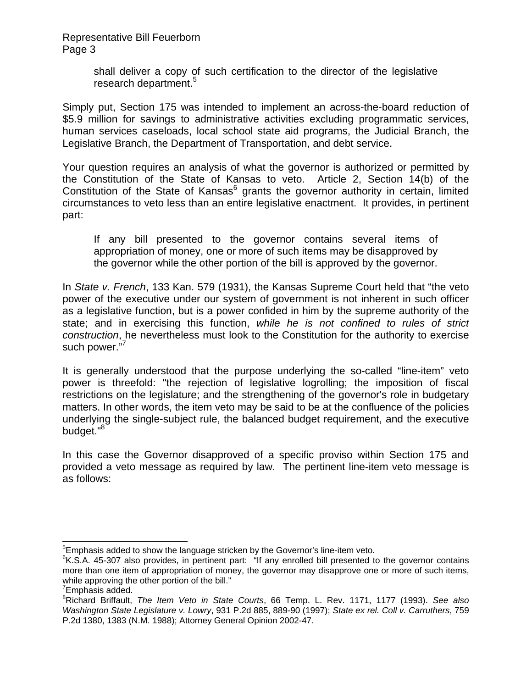> shall deliver a copy of such certification to the director of the legislative research department.<sup>5</sup>

Simply put, Section 175 was intended to implement an across-the-board reduction of \$5.9 million for savings to administrative activities excluding programmatic services, human services caseloads, local school state aid programs, the Judicial Branch, the Legislative Branch, the Department of Transportation, and debt service.

Your question requires an analysis of what the governor is authorized or permitted by the Constitution of the State of Kansas to veto. Article 2, Section 14(b) of the Constitution of the State of Kansas<sup>6</sup> grants the governor authority in certain, limited circumstances to veto less than an entire legislative enactment. It provides, in pertinent part:

If any bill presented to the governor contains several items of appropriation of money, one or more of such items may be disapproved by the governor while the other portion of the bill is approved by the governor.

In *State v. French*, 133 Kan. 579 (1931), the Kansas Supreme Court held that "the veto power of the executive under our system of government is not inherent in such officer as a legislative function, but is a power confided in him by the supreme authority of the state; and in exercising this function, *while he is not confined to rules of strict construction*, he nevertheless must look to the Constitution for the authority to exercise such power."

It is generally understood that the purpose underlying the so-called "line-item" veto power is threefold: "the rejection of legislative logrolling; the imposition of fiscal restrictions on the legislature; and the strengthening of the governor's role in budgetary matters. In other words, the item veto may be said to be at the confluence of the policies underlying the single-subject rule, the balanced budget requirement, and the executive budget."<sup>8</sup>

In this case the Governor disapproved of a specific proviso within Section 175 and provided a veto message as required by law. The pertinent line-item veto message is as follows:

 $\overline{\phantom{a}}$ 

 $5$ Emphasis added to show the language stricken by the Governor's line-item veto.

<sup>&</sup>lt;sup>6</sup>K.S.A. 45-307 also provides, in pertinent part: "If any enrolled bill presented to the governor contains more than one item of appropriation of money, the governor may disapprove one or more of such items, while approving the other portion of the bill."

<sup>&</sup>lt;sup>7</sup>Emphasis added.

<sup>8</sup> Richard Briffault, *The Item Veto in State Courts*, 66 Temp. L. Rev. 1171, 1177 (1993). *See also Washington State Legislature v. Lowry*, 931 P.2d 885, 889-90 (1997); *State ex rel. Coll v. Carruthers*, 759 P.2d 1380, 1383 (N.M. 1988); Attorney General Opinion 2002-47.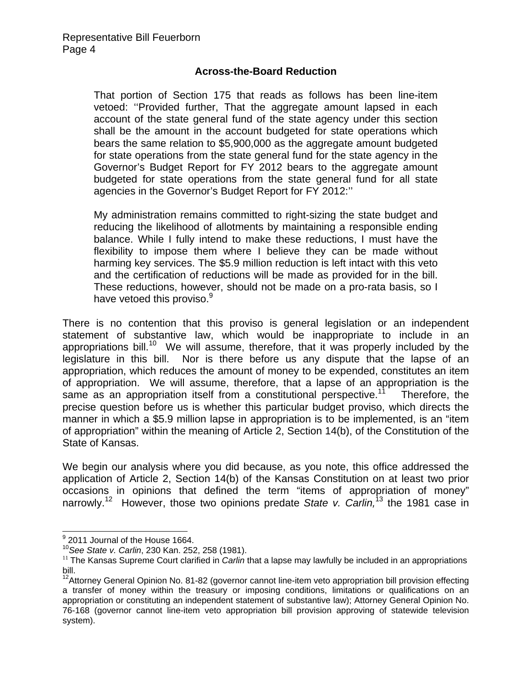## **Across-the-Board Reduction**

That portion of Section 175 that reads as follows has been line-item vetoed: ''Provided further, That the aggregate amount lapsed in each account of the state general fund of the state agency under this section shall be the amount in the account budgeted for state operations which bears the same relation to \$5,900,000 as the aggregate amount budgeted for state operations from the state general fund for the state agency in the Governor's Budget Report for FY 2012 bears to the aggregate amount budgeted for state operations from the state general fund for all state agencies in the Governor's Budget Report for FY 2012:''

My administration remains committed to right-sizing the state budget and reducing the likelihood of allotments by maintaining a responsible ending balance. While I fully intend to make these reductions, I must have the flexibility to impose them where I believe they can be made without harming key services. The \$5.9 million reduction is left intact with this veto and the certification of reductions will be made as provided for in the bill. These reductions, however, should not be made on a pro-rata basis, so I have vetoed this proviso.<sup>9</sup>

There is no contention that this proviso is general legislation or an independent statement of substantive law, which would be inappropriate to include in an appropriations bill.<sup>10</sup> We will assume, therefore, that it was properly included by the legislature in this bill. Nor is there before us any dispute that the lapse of an appropriation, which reduces the amount of money to be expended, constitutes an item of appropriation. We will assume, therefore, that a lapse of an appropriation is the same as an appropriation itself from a constitutional perspective.<sup>11</sup> Therefore, the precise question before us is whether this particular budget proviso, which directs the manner in which a \$5.9 million lapse in appropriation is to be implemented, is an "item of appropriation" within the meaning of Article 2, Section 14(b), of the Constitution of the State of Kansas.

We begin our analysis where you did because, as you note, this office addressed the application of Article 2, Section 14(b) of the Kansas Constitution on at least two prior occasions in opinions that defined the term "items of appropriation of money" narrowly.12 However, those two opinions predate *State v. Carlin,*13 the 1981 case in

<sup>9&</sup>lt;br><sup>9</sup> 2011 Journal of the House 1664.

<sup>&</sup>lt;sup>10</sup> See State v. Carlin, 230 Kan. 252, 258 (1981).<br><sup>11</sup> The Kansas Supreme Court clarified in *Carlin* that a lapse may lawfully be included in an appropriations bill.

<sup>&</sup>lt;sup>12</sup>Attorney General Opinion No. 81-82 (governor cannot line-item veto appropriation bill provision effecting a transfer of money within the treasury or imposing conditions, limitations or qualifications on an appropriation or constituting an independent statement of substantive law); Attorney General Opinion No. 76-168 (governor cannot line-item veto appropriation bill provision approving of statewide television system).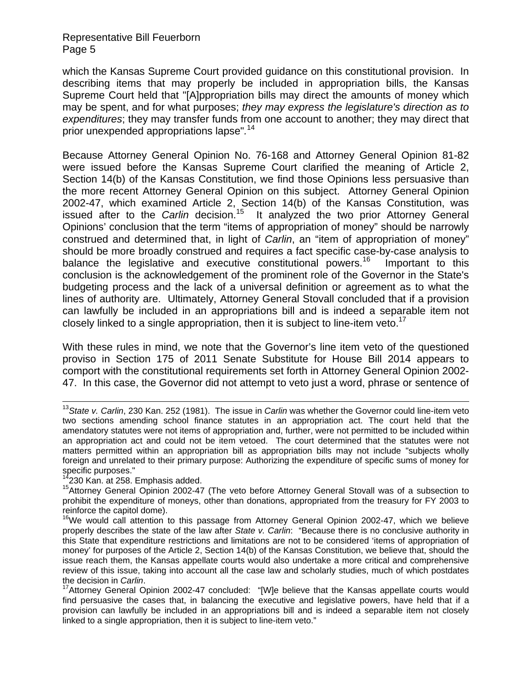which the Kansas Supreme Court provided guidance on this constitutional provision. In describing items that may properly be included in appropriation bills, the Kansas Supreme Court held that "[A]ppropriation bills may direct the amounts of money which may be spent, and for what purposes; *they may express the legislature's direction as to expenditures*; they may transfer funds from one account to another; they may direct that prior unexpended appropriations lapse"*.* 14

Because Attorney General Opinion No. 76-168 and Attorney General Opinion 81-82 were issued before the Kansas Supreme Court clarified the meaning of Article 2, Section 14(b) of the Kansas Constitution, we find those Opinions less persuasive than the more recent Attorney General Opinion on this subject. Attorney General Opinion 2002-47, which examined Article 2, Section 14(b) of the Kansas Constitution, was issued after to the *Carlin* decision.<sup>15</sup> It analyzed the two prior Attorney General Opinions' conclusion that the term "items of appropriation of money" should be narrowly construed and determined that, in light of *Carlin*, an "item of appropriation of money" should be more broadly construed and requires a fact specific case-by-case analysis to balance the legislative and executive constitutional powers.<sup>16</sup> Important to this conclusion is the acknowledgement of the prominent role of the Governor in the State's budgeting process and the lack of a universal definition or agreement as to what the lines of authority are. Ultimately, Attorney General Stovall concluded that if a provision can lawfully be included in an appropriations bill and is indeed a separable item not closely linked to a single appropriation, then it is subject to line-item veto.<sup>17</sup>

With these rules in mind, we note that the Governor's line item veto of the questioned proviso in Section 175 of 2011 Senate Substitute for House Bill 2014 appears to comport with the constitutional requirements set forth in Attorney General Opinion 2002- 47. In this case, the Governor did not attempt to veto just a word, phrase or sentence of

<sup>13</sup>*State v. Carlin*, 230 Kan. 252 (1981). The issue in *Carlin* was whether the Governor could line-item veto two sections amending school finance statutes in an appropriation act. The court held that the amendatory statutes were not items of appropriation and, further, were not permitted to be included within an appropriation act and could not be item vetoed. The court determined that the statutes were not matters permitted within an appropriation bill as appropriation bills may not include "subjects wholly foreign and unrelated to their primary purpose: Authorizing the expenditure of specific sums of money for specific purposes."<br><sup>14</sup>230 Kan. at 258. Emphasis added.

<sup>&</sup>lt;sup>15</sup>Attorney General Opinion 2002-47 (The veto before Attorney General Stovall was of a subsection to prohibit the expenditure of moneys, other than donations, appropriated from the treasury for FY 2003 to reinforce the capitol dome).

<sup>&</sup>lt;sup>16</sup>We would call attention to this passage from Attorney General Opinion 2002-47, which we believe properly describes the state of the law after *State v. Carlin*: "Because there is no conclusive authority in this State that expenditure restrictions and limitations are not to be considered 'items of appropriation of money' for purposes of the Article 2, Section 14(b) of the Kansas Constitution, we believe that, should the issue reach them, the Kansas appellate courts would also undertake a more critical and comprehensive review of this issue, taking into account all the case law and scholarly studies, much of which postdates

the decision in *Carlin*.<br><sup>17</sup>Attorney General Opinion 2002-47 concluded: "[W]e believe that the Kansas appellate courts would find persuasive the cases that, in balancing the executive and legislative powers, have held that if a provision can lawfully be included in an appropriations bill and is indeed a separable item not closely linked to a single appropriation, then it is subject to line-item veto."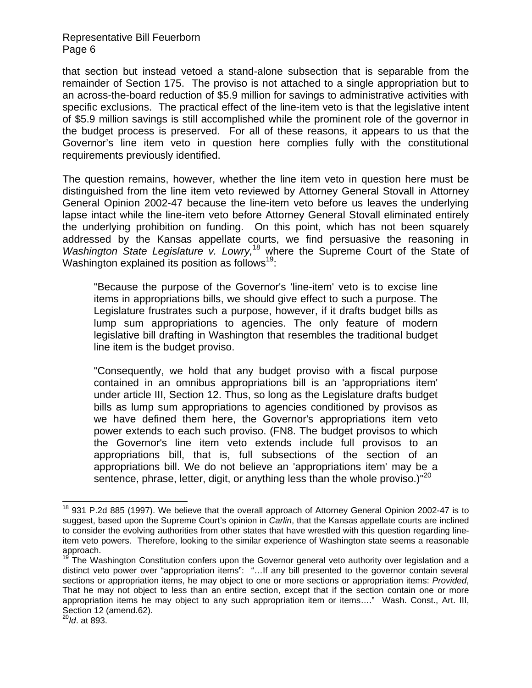that section but instead vetoed a stand-alone subsection that is separable from the remainder of Section 175. The proviso is not attached to a single appropriation but to an across-the-board reduction of \$5.9 million for savings to administrative activities with specific exclusions. The practical effect of the line-item veto is that the legislative intent of \$5.9 million savings is still accomplished while the prominent role of the governor in the budget process is preserved. For all of these reasons, it appears to us that the Governor's line item veto in question here complies fully with the constitutional requirements previously identified.

The question remains, however, whether the line item veto in question here must be distinguished from the line item veto reviewed by Attorney General Stovall in Attorney General Opinion 2002-47 because the line-item veto before us leaves the underlying lapse intact while the line-item veto before Attorney General Stovall eliminated entirely the underlying prohibition on funding. On this point, which has not been squarely addressed by the Kansas appellate courts, we find persuasive the reasoning in *Washington State Legislature v. Lowry,*18 where the Supreme Court of the State of Washington explained its position as follows<sup>19</sup>:

"Because the purpose of the Governor's 'line-item' veto is to excise line items in appropriations bills, we should give effect to such a purpose. The Legislature frustrates such a purpose, however, if it drafts budget bills as lump sum appropriations to agencies. The only feature of modern legislative bill drafting in Washington that resembles the traditional budget line item is the budget proviso.

"Consequently, we hold that any budget proviso with a fiscal purpose contained in an omnibus appropriations bill is an 'appropriations item' under article III, Section 12. Thus, so long as the Legislature drafts budget bills as lump sum appropriations to agencies conditioned by provisos as we have defined them here, the Governor's appropriations item veto power extends to each such proviso. (FN8. The budget provisos to which the Governor's line item veto extends include full provisos to an appropriations bill, that is, full subsections of the section of an appropriations bill. We do not believe an 'appropriations item' may be a sentence, phrase, letter, digit, or anything less than the whole proviso.)"<sup>20</sup>

 $\overline{\phantom{a}}$ 

 $18$  931 P.2d 885 (1997). We believe that the overall approach of Attorney General Opinion 2002-47 is to suggest, based upon the Supreme Court's opinion in *Carlin*, that the Kansas appellate courts are inclined to consider the evolving authorities from other states that have wrestled with this question regarding lineitem veto powers. Therefore, looking to the similar experience of Washington state seems a reasonable approach.

The Washington Constitution confers upon the Governor general veto authority over legislation and a distinct veto power over "appropriation items": "…If any bill presented to the governor contain several sections or appropriation items, he may object to one or more sections or appropriation items: *Provided*, That he may not object to less than an entire section, except that if the section contain one or more appropriation items he may object to any such appropriation item or items…." Wash. Const., Art. III, Section 12 (amend.62).